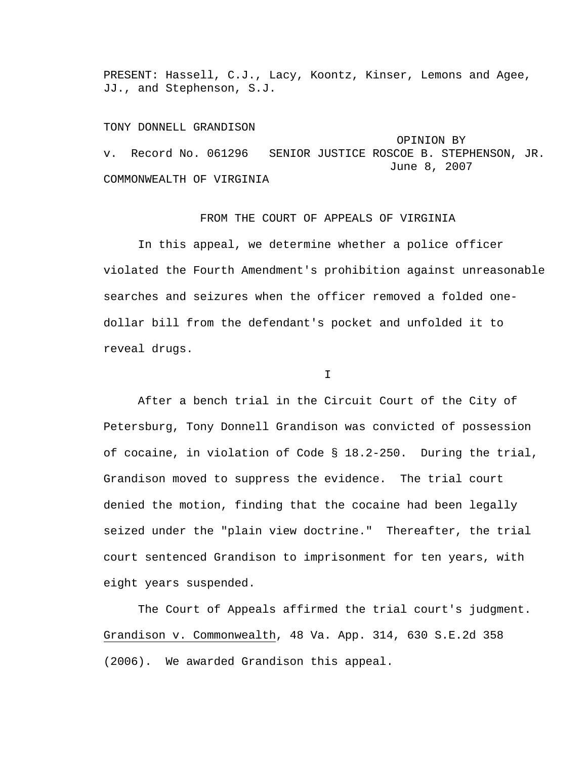PRESENT: Hassell, C.J., Lacy, Koontz, Kinser, Lemons and Agee, JJ., and Stephenson, S.J.

## TONY DONNELL GRANDISON

 OPINION BY v. Record No. 061296 SENIOR JUSTICE ROSCOE B. STEPHENSON, JR. June 8, 2007 COMMONWEALTH OF VIRGINIA

## FROM THE COURT OF APPEALS OF VIRGINIA

 In this appeal, we determine whether a police officer violated the Fourth Amendment's prohibition against unreasonable searches and seizures when the officer removed a folded onedollar bill from the defendant's pocket and unfolded it to reveal drugs.

I

 After a bench trial in the Circuit Court of the City of Petersburg, Tony Donnell Grandison was convicted of possession of cocaine, in violation of Code § 18.2-250. During the trial, Grandison moved to suppress the evidence. The trial court denied the motion, finding that the cocaine had been legally seized under the "plain view doctrine." Thereafter, the trial court sentenced Grandison to imprisonment for ten years, with eight years suspended.

 The Court of Appeals affirmed the trial court's judgment. Grandison v. Commonwealth, 48 Va. App. 314, 630 S.E.2d 358 (2006). We awarded Grandison this appeal.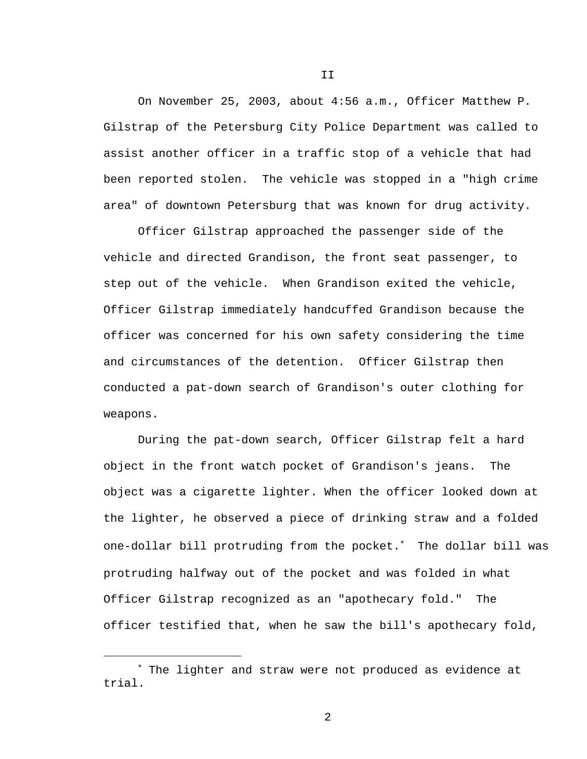On November 25, 2003, about 4:56 a.m., Officer Matthew P. Gilstrap of the Petersburg City Police Department was called to assist another officer in a traffic stop of a vehicle that had been reported stolen. The vehicle was stopped in a "high crime area" of downtown Petersburg that was known for drug activity.

 Officer Gilstrap approached the passenger side of the vehicle and directed Grandison, the front seat passenger, to step out of the vehicle. When Grandison exited the vehicle, Officer Gilstrap immediately handcuffed Grandison because the officer was concerned for his own safety considering the time and circumstances of the detention. Officer Gilstrap then conducted a pat-down search of Grandison's outer clothing for weapons.

 During the pat-down search, Officer Gilstrap felt a hard object in the front watch pocket of Grandison's jeans. The object was a cigarette lighter. When the officer looked down at the lighter, he observed a piece of drinking straw and a folded one-dollar bill protruding from the pocket.<sup>\*</sup> The dollar bill was protruding halfway out of the pocket and was folded in what Officer Gilstrap recognized as an "apothecary fold." The officer testified that, when he saw the bill's apothecary fold,

i

II

<sup>∗</sup> The lighter and straw were not produced as evidence at trial.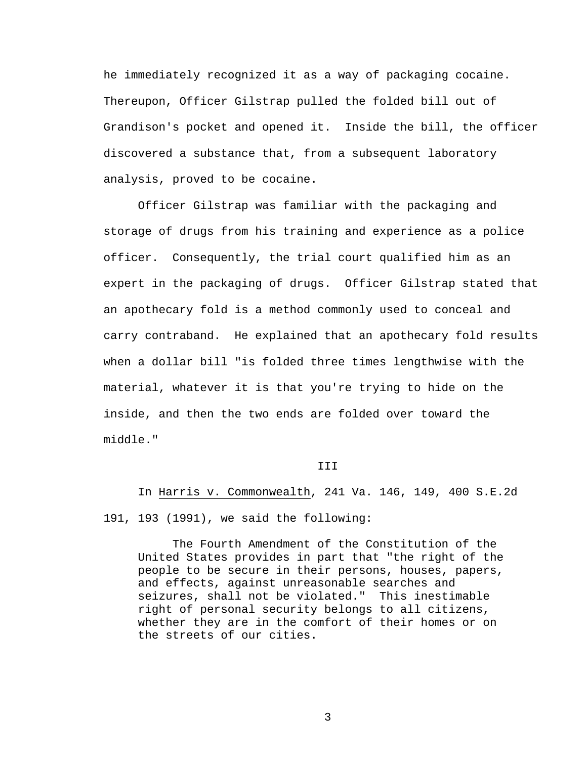he immediately recognized it as a way of packaging cocaine. Thereupon, Officer Gilstrap pulled the folded bill out of Grandison's pocket and opened it. Inside the bill, the officer discovered a substance that, from a subsequent laboratory analysis, proved to be cocaine.

 Officer Gilstrap was familiar with the packaging and storage of drugs from his training and experience as a police officer. Consequently, the trial court qualified him as an expert in the packaging of drugs. Officer Gilstrap stated that an apothecary fold is a method commonly used to conceal and carry contraband. He explained that an apothecary fold results when a dollar bill "is folded three times lengthwise with the material, whatever it is that you're trying to hide on the inside, and then the two ends are folded over toward the middle."

## **TTT**

 In Harris v. Commonwealth, 241 Va. 146, 149, 400 S.E.2d 191, 193 (1991), we said the following:

 The Fourth Amendment of the Constitution of the United States provides in part that "the right of the people to be secure in their persons, houses, papers, and effects, against unreasonable searches and seizures, shall not be violated." This inestimable right of personal security belongs to all citizens, whether they are in the comfort of their homes or on the streets of our cities.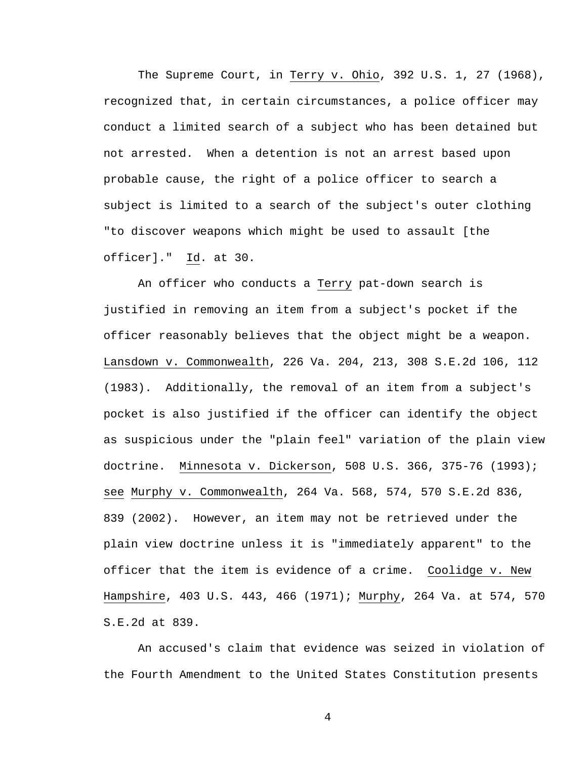The Supreme Court, in Terry v. Ohio, 392 U.S. 1, 27 (1968), recognized that, in certain circumstances, a police officer may conduct a limited search of a subject who has been detained but not arrested. When a detention is not an arrest based upon probable cause, the right of a police officer to search a subject is limited to a search of the subject's outer clothing "to discover weapons which might be used to assault [the officer]." Id. at 30.

An officer who conducts a Terry pat-down search is justified in removing an item from a subject's pocket if the officer reasonably believes that the object might be a weapon. Lansdown v. Commonwealth, 226 Va. 204, 213, 308 S.E.2d 106, 112 (1983). Additionally, the removal of an item from a subject's pocket is also justified if the officer can identify the object as suspicious under the "plain feel" variation of the plain view doctrine. Minnesota v. Dickerson, 508 U.S. 366, 375-76 (1993); see Murphy v. Commonwealth, 264 Va. 568, 574, 570 S.E.2d 836, 839 (2002). However, an item may not be retrieved under the plain view doctrine unless it is "immediately apparent" to the officer that the item is evidence of a crime. Coolidge v. New Hampshire, 403 U.S. 443, 466 (1971); Murphy, 264 Va. at 574, 570 S.E.2d at 839.

 An accused's claim that evidence was seized in violation of the Fourth Amendment to the United States Constitution presents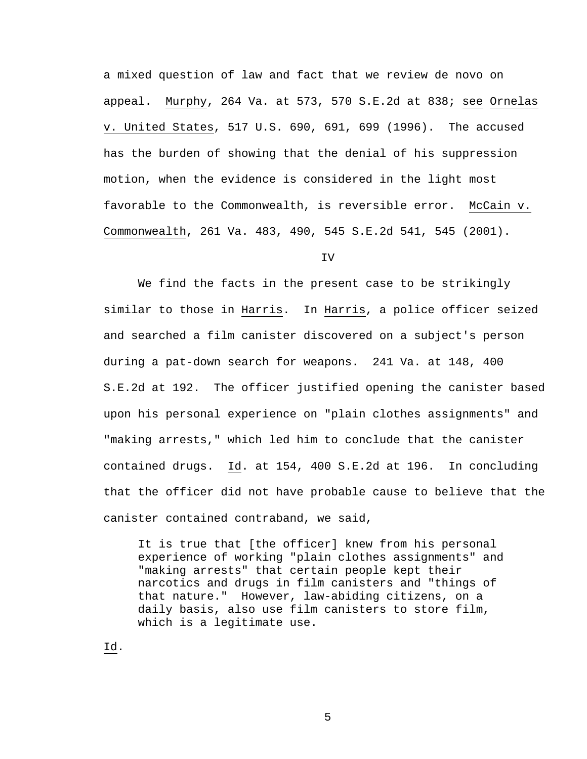a mixed question of law and fact that we review de novo on appeal. Murphy, 264 Va. at 573, 570 S.E.2d at 838; see Ornelas v. United States, 517 U.S. 690, 691, 699 (1996). The accused has the burden of showing that the denial of his suppression motion, when the evidence is considered in the light most favorable to the Commonwealth, is reversible error. McCain v. Commonwealth, 261 Va. 483, 490, 545 S.E.2d 541, 545 (2001).

IV

 We find the facts in the present case to be strikingly similar to those in Harris. In Harris, a police officer seized and searched a film canister discovered on a subject's person during a pat-down search for weapons. 241 Va. at 148, 400 S.E.2d at 192. The officer justified opening the canister based upon his personal experience on "plain clothes assignments" and "making arrests," which led him to conclude that the canister contained drugs. Id. at 154, 400 S.E.2d at 196. In concluding that the officer did not have probable cause to believe that the canister contained contraband, we said,

It is true that [the officer] knew from his personal experience of working "plain clothes assignments" and "making arrests" that certain people kept their narcotics and drugs in film canisters and "things of that nature." However, law-abiding citizens, on a daily basis, also use film canisters to store film, which is a legitimate use.

Id.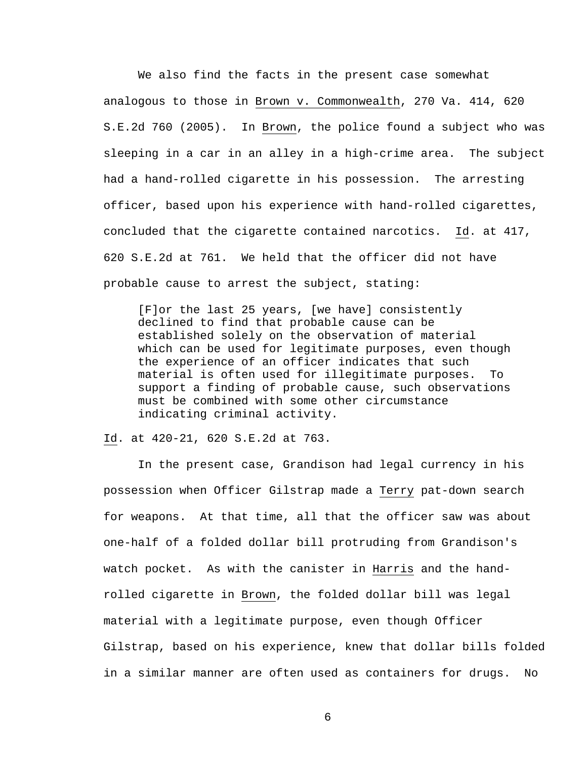We also find the facts in the present case somewhat analogous to those in Brown v. Commonwealth, 270 Va. 414, 620 S.E.2d 760 (2005). In Brown, the police found a subject who was sleeping in a car in an alley in a high-crime area. The subject had a hand-rolled cigarette in his possession. The arresting officer, based upon his experience with hand-rolled cigarettes, concluded that the cigarette contained narcotics. Id. at 417, 620 S.E.2d at 761. We held that the officer did not have probable cause to arrest the subject, stating:

[F]or the last 25 years, [we have] consistently declined to find that probable cause can be established solely on the observation of material which can be used for legitimate purposes, even though the experience of an officer indicates that such material is often used for illegitimate purposes. To support a finding of probable cause, such observations must be combined with some other circumstance indicating criminal activity.

Id. at 420-21, 620 S.E.2d at 763.

 In the present case, Grandison had legal currency in his possession when Officer Gilstrap made a Terry pat-down search for weapons. At that time, all that the officer saw was about one-half of a folded dollar bill protruding from Grandison's watch pocket. As with the canister in Harris and the handrolled cigarette in Brown, the folded dollar bill was legal material with a legitimate purpose, even though Officer Gilstrap, based on his experience, knew that dollar bills folded in a similar manner are often used as containers for drugs. No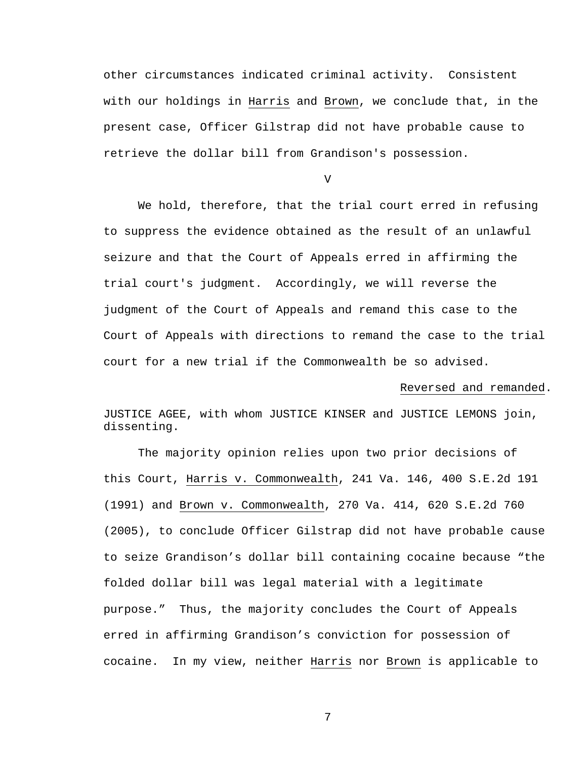other circumstances indicated criminal activity. Consistent with our holdings in Harris and Brown, we conclude that, in the present case, Officer Gilstrap did not have probable cause to retrieve the dollar bill from Grandison's possession.

V

 We hold, therefore, that the trial court erred in refusing to suppress the evidence obtained as the result of an unlawful seizure and that the Court of Appeals erred in affirming the trial court's judgment. Accordingly, we will reverse the judgment of the Court of Appeals and remand this case to the Court of Appeals with directions to remand the case to the trial court for a new trial if the Commonwealth be so advised.

## Reversed and remanded.

JUSTICE AGEE, with whom JUSTICE KINSER and JUSTICE LEMONS join, dissenting.

The majority opinion relies upon two prior decisions of this Court, Harris v. Commonwealth, 241 Va. 146, 400 S.E.2d 191 (1991) and Brown v. Commonwealth, 270 Va. 414, 620 S.E.2d 760 (2005), to conclude Officer Gilstrap did not have probable cause to seize Grandison's dollar bill containing cocaine because "the folded dollar bill was legal material with a legitimate purpose." Thus, the majority concludes the Court of Appeals erred in affirming Grandison's conviction for possession of cocaine. In my view, neither Harris nor Brown is applicable to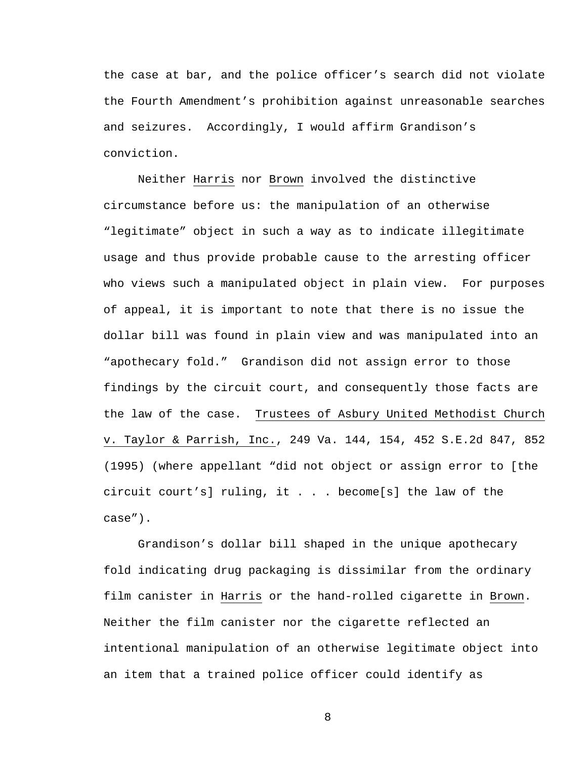the case at bar, and the police officer's search did not violate the Fourth Amendment's prohibition against unreasonable searches and seizures. Accordingly, I would affirm Grandison's conviction.

Neither Harris nor Brown involved the distinctive circumstance before us: the manipulation of an otherwise "legitimate" object in such a way as to indicate illegitimate usage and thus provide probable cause to the arresting officer who views such a manipulated object in plain view. For purposes of appeal, it is important to note that there is no issue the dollar bill was found in plain view and was manipulated into an "apothecary fold." Grandison did not assign error to those findings by the circuit court, and consequently those facts are the law of the case. Trustees of Asbury United Methodist Church v. Taylor & Parrish, Inc., 249 Va. 144, 154, 452 S.E.2d 847, 852 (1995) (where appellant "did not object or assign error to [the circuit court's] ruling, it . . . become[s] the law of the case").

Grandison's dollar bill shaped in the unique apothecary fold indicating drug packaging is dissimilar from the ordinary film canister in Harris or the hand-rolled cigarette in Brown. Neither the film canister nor the cigarette reflected an intentional manipulation of an otherwise legitimate object into an item that a trained police officer could identify as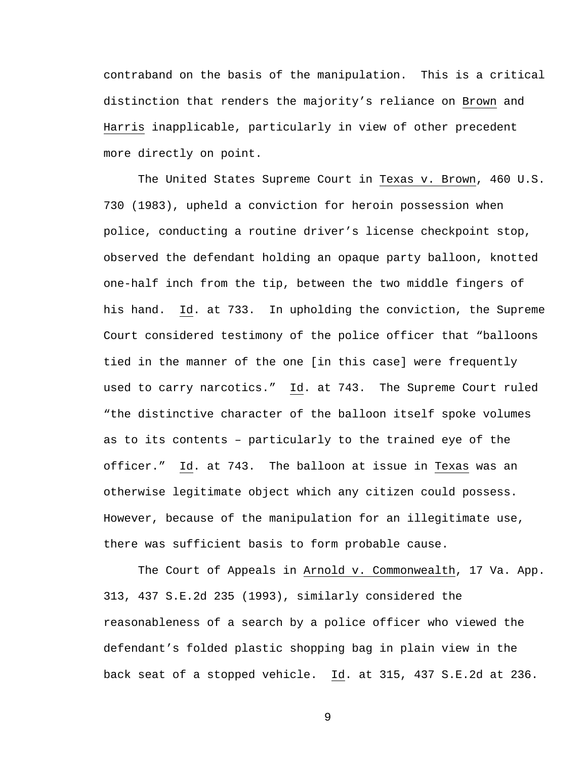contraband on the basis of the manipulation. This is a critical distinction that renders the majority's reliance on Brown and Harris inapplicable, particularly in view of other precedent more directly on point.

The United States Supreme Court in Texas v. Brown, 460 U.S. 730 (1983), upheld a conviction for heroin possession when police, conducting a routine driver's license checkpoint stop, observed the defendant holding an opaque party balloon, knotted one-half inch from the tip, between the two middle fingers of his hand. Id. at 733. In upholding the conviction, the Supreme Court considered testimony of the police officer that "balloons tied in the manner of the one [in this case] were frequently used to carry narcotics." Id. at 743. The Supreme Court ruled "the distinctive character of the balloon itself spoke volumes as to its contents – particularly to the trained eye of the officer." Id. at 743. The balloon at issue in Texas was an otherwise legitimate object which any citizen could possess. However, because of the manipulation for an illegitimate use, there was sufficient basis to form probable cause.

 The Court of Appeals in Arnold v. Commonwealth, 17 Va. App. 313, 437 S.E.2d 235 (1993), similarly considered the reasonableness of a search by a police officer who viewed the defendant's folded plastic shopping bag in plain view in the back seat of a stopped vehicle. Id. at 315, 437 S.E.2d at 236.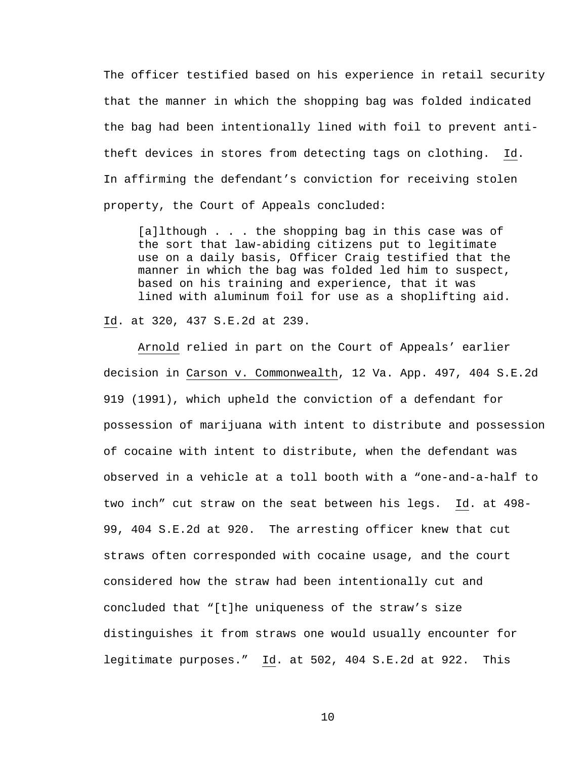The officer testified based on his experience in retail security that the manner in which the shopping bag was folded indicated the bag had been intentionally lined with foil to prevent antitheft devices in stores from detecting tags on clothing. Id. In affirming the defendant's conviction for receiving stolen property, the Court of Appeals concluded:

[a]lthough . . . the shopping bag in this case was of the sort that law-abiding citizens put to legitimate use on a daily basis, Officer Craig testified that the manner in which the bag was folded led him to suspect, based on his training and experience, that it was lined with aluminum foil for use as a shoplifting aid.

Id. at 320, 437 S.E.2d at 239.

 Arnold relied in part on the Court of Appeals' earlier decision in Carson v. Commonwealth, 12 Va. App. 497, 404 S.E.2d 919 (1991), which upheld the conviction of a defendant for possession of marijuana with intent to distribute and possession of cocaine with intent to distribute, when the defendant was observed in a vehicle at a toll booth with a "one-and-a-half to two inch" cut straw on the seat between his legs. Id. at 498- 99, 404 S.E.2d at 920. The arresting officer knew that cut straws often corresponded with cocaine usage, and the court considered how the straw had been intentionally cut and concluded that "[t]he uniqueness of the straw's size distinguishes it from straws one would usually encounter for legitimate purposes." Id. at 502, 404 S.E.2d at 922. This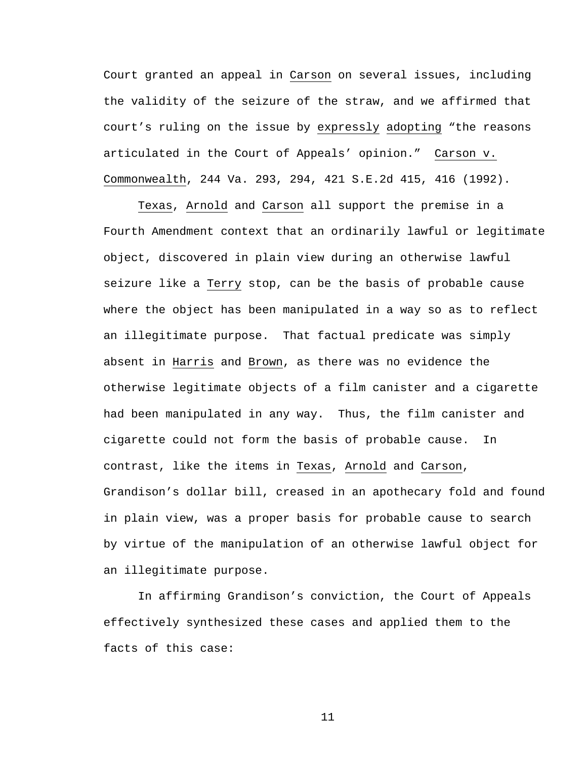Court granted an appeal in Carson on several issues, including the validity of the seizure of the straw, and we affirmed that court's ruling on the issue by expressly adopting "the reasons articulated in the Court of Appeals' opinion." Carson v. Commonwealth, 244 Va. 293, 294, 421 S.E.2d 415, 416 (1992).

 Texas, Arnold and Carson all support the premise in a Fourth Amendment context that an ordinarily lawful or legitimate object, discovered in plain view during an otherwise lawful seizure like a Terry stop, can be the basis of probable cause where the object has been manipulated in a way so as to reflect an illegitimate purpose. That factual predicate was simply absent in Harris and Brown, as there was no evidence the otherwise legitimate objects of a film canister and a cigarette had been manipulated in any way. Thus, the film canister and cigarette could not form the basis of probable cause. In contrast, like the items in Texas, Arnold and Carson, Grandison's dollar bill, creased in an apothecary fold and found in plain view, was a proper basis for probable cause to search by virtue of the manipulation of an otherwise lawful object for an illegitimate purpose.

In affirming Grandison's conviction, the Court of Appeals effectively synthesized these cases and applied them to the facts of this case: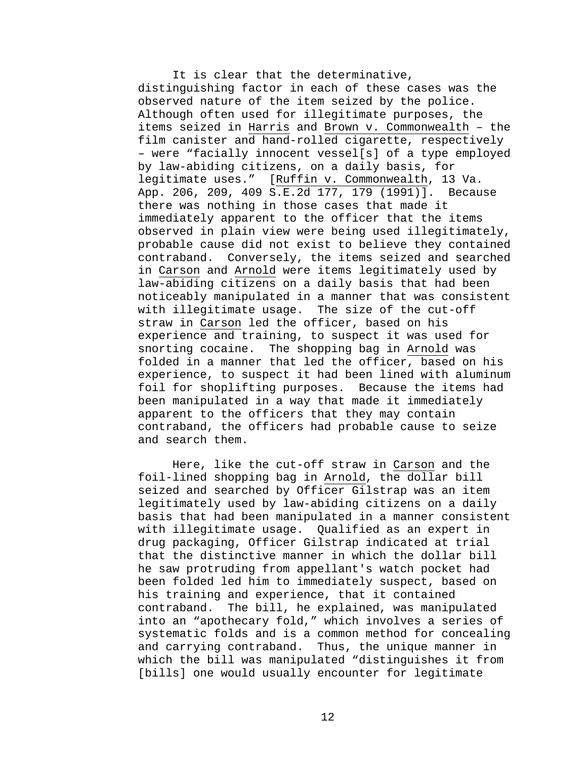It is clear that the determinative, distinguishing factor in each of these cases was the observed nature of the item seized by the police. Although often used for illegitimate purposes, the items seized in Harris and Brown v. Commonwealth – the film canister and hand-rolled cigarette, respectively – were "facially innocent vessel[s] of a type employed by law-abiding citizens, on a daily basis, for legitimate uses." [Ruffin v. Commonwealth, 13 Va. App. 206, 209, 409 S.E.2d 177, 179 (1991)]. Because there was nothing in those cases that made it immediately apparent to the officer that the items observed in plain view were being used illegitimately, probable cause did not exist to believe they contained contraband. Conversely, the items seized and searched in Carson and Arnold were items legitimately used by law-abiding citizens on a daily basis that had been noticeably manipulated in a manner that was consistent with illegitimate usage. The size of the cut-off straw in Carson led the officer, based on his experience and training, to suspect it was used for snorting cocaine. The shopping bag in Arnold was folded in a manner that led the officer, based on his experience, to suspect it had been lined with aluminum foil for shoplifting purposes. Because the items had been manipulated in a way that made it immediately apparent to the officers that they may contain contraband, the officers had probable cause to seize and search them.

Here, like the cut-off straw in Carson and the foil-lined shopping bag in Arnold, the dollar bill seized and searched by Officer Gilstrap was an item legitimately used by law-abiding citizens on a daily basis that had been manipulated in a manner consistent with illegitimate usage. Qualified as an expert in drug packaging, Officer Gilstrap indicated at trial that the distinctive manner in which the dollar bill he saw protruding from appellant's watch pocket had been folded led him to immediately suspect, based on his training and experience, that it contained contraband. The bill, he explained, was manipulated into an "apothecary fold," which involves a series of systematic folds and is a common method for concealing and carrying contraband. Thus, the unique manner in which the bill was manipulated "distinguishes it from [bills] one would usually encounter for legitimate